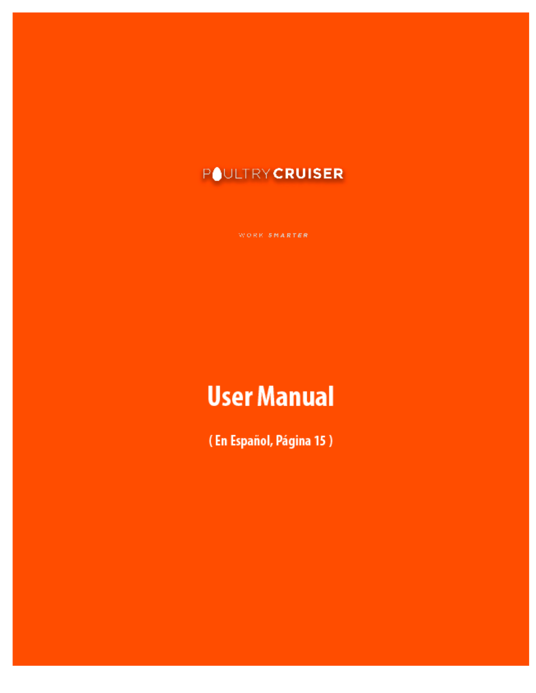# **POULTRY CRUISER**

WORK SMARTER

# **User Manual**

(En Español, Página 15)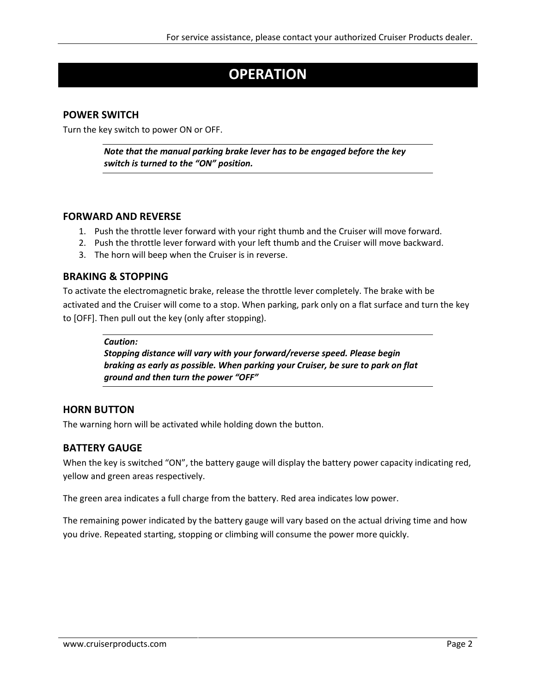### **OPERATION**

#### **POWER SWITCH**

Turn the key switch to power ON or OFF.

*Note that the manual parking brake lever has to be engaged before the key switch is turned to the "ON" position.*

#### **FORWARD AND REVERSE**

- 1. Push the throttle lever forward with your right thumb and the Cruiser will move forward.
- 2. Push the throttle lever forward with your left thumb and the Cruiser will move backward.
- 3. The horn will beep when the Cruiser is in reverse.

#### **BRAKING & STOPPING**

To activate the electromagnetic brake, release the throttle lever completely. The brake with be activated and the Cruiser will come to a stop. When parking, park only on a flat surface and turn the key to [OFF]. Then pull out the key (only after stopping).

#### *Caution:*

*Stopping distance will vary with your forward/reverse speed. Please begin braking as early as possible. When parking your Cruiser, be sure to park on flat ground and then turn the power "OFF"*

#### **HORN BUTTON**

The warning horn will be activated while holding down the button.

#### **BATTERY GAUGE**

When the key is switched "ON", the battery gauge will display the battery power capacity indicating red, yellow and green areas respectively.

The green area indicates a full charge from the battery. Red area indicates low power.

The remaining power indicated by the battery gauge will vary based on the actual driving time and how you drive. Repeated starting, stopping or climbing will consume the power more quickly.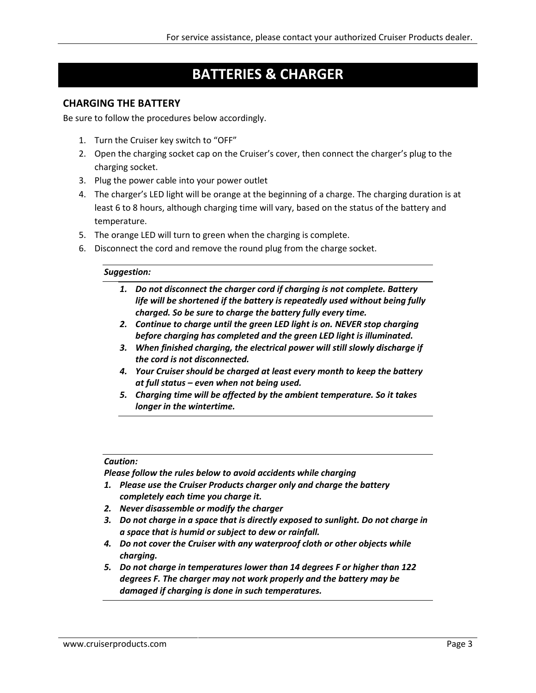### **BATTERIES & CHARGER**

#### **CHARGING THE BATTERY**

Be sure to follow the procedures below accordingly.

- 1. Turn the Cruiser key switch to "OFF"
- 2. Open the charging socket cap on the Cruiser's cover, then connect the charger's plug to the charging socket.
- 3. Plug the power cable into your power outlet
- 4. The charger's LED light will be orange at the beginning of a charge. The charging duration is at least 6 to 8 hours, although charging time will vary, based on the status of the battery and temperature.
- 5. The orange LED will turn to green when the charging is complete.
- 6. Disconnect the cord and remove the round plug from the charge socket.

#### *Suggestion:*

- *1. Do not disconnect the charger cord if charging is not complete. Battery life will be shortened if the battery is repeatedly used without being fully charged. So be sure to charge the battery fully every time.*
- *2. Continue to charge until the green LED light is on. NEVER stop charging before charging has completed and the green LED light is illuminated.*
- *3. When finished charging, the electrical power will still slowly discharge if the cord is not disconnected.*
- *4. Your Cruiser should be charged at least every month to keep the battery at full status – even when not being used.*
- *5. Charging time will be affected by the ambient temperature. So it takes longer in the wintertime.*

#### *Caution:*

*Please follow the rules below to avoid accidents while charging*

- *1. Please use the Cruiser Products charger only and charge the battery completely each time you charge it.*
- *2. Never disassemble or modify the charger*
- *3. Do not charge in a space that is directly exposed to sunlight. Do not charge in a space that is humid or subject to dew or rainfall.*
- *4. Do not cover the Cruiser with any waterproof cloth or other objects while charging.*
- *5. Do not charge in temperatures lower than 14 degrees F or higher than 122 degrees F. The charger may not work properly and the battery may be damaged if charging is done in such temperatures.*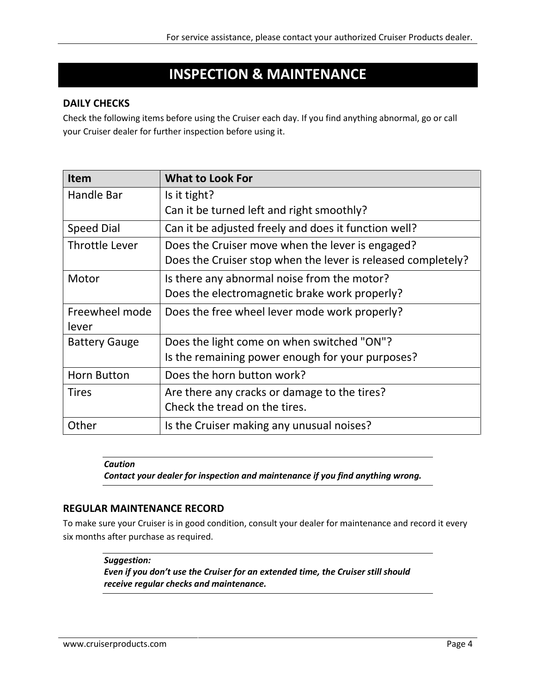### **INSPECTION & MAINTENANCE**

#### **DAILY CHECKS**

Check the following items before using the Cruiser each day. If you find anything abnormal, go or call your Cruiser dealer for further inspection before using it.

| <b>Item</b>           | <b>What to Look For</b>                                      |
|-----------------------|--------------------------------------------------------------|
| Handle Bar            | Is it tight?                                                 |
|                       | Can it be turned left and right smoothly?                    |
| <b>Speed Dial</b>     | Can it be adjusted freely and does it function well?         |
| <b>Throttle Lever</b> | Does the Cruiser move when the lever is engaged?             |
|                       | Does the Cruiser stop when the lever is released completely? |
| Motor                 | Is there any abnormal noise from the motor?                  |
|                       | Does the electromagnetic brake work properly?                |
| Freewheel mode        | Does the free wheel lever mode work properly?                |
| lever                 |                                                              |
| <b>Battery Gauge</b>  | Does the light come on when switched "ON"?                   |
|                       | Is the remaining power enough for your purposes?             |
| <b>Horn Button</b>    | Does the horn button work?                                   |
| <b>Tires</b>          | Are there any cracks or damage to the tires?                 |
|                       | Check the tread on the tires.                                |
| Other                 | Is the Cruiser making any unusual noises?                    |

*Caution*

*Contact your dealer for inspection and maintenance if you find anything wrong.*

#### **REGULAR MAINTENANCE RECORD**

To make sure your Cruiser is in good condition, consult your dealer for maintenance and record it every six months after purchase as required.

*Suggestion:*

*Even if you don't use the Cruiser for an extended time, the Cruiser still should receive regular checks and maintenance.*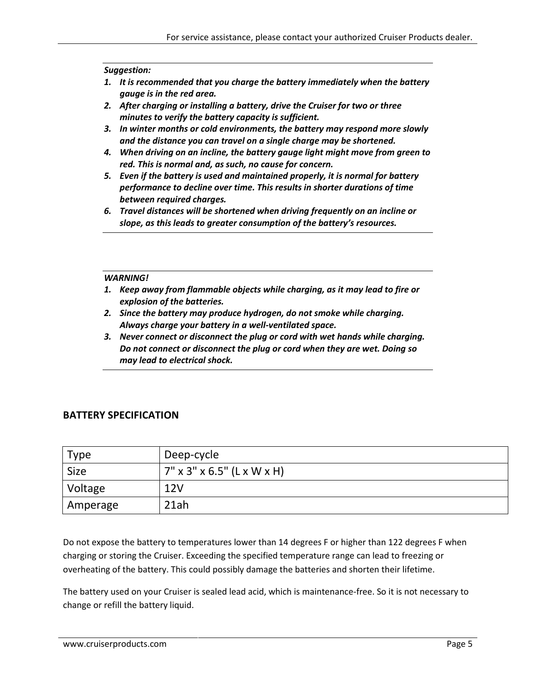#### *Suggestion:*

- *1. It is recommended that you charge the battery immediately when the battery gauge is in the red area.*
- *2. After charging or installing a battery, drive the Cruiser for two or three minutes to verify the battery capacity is sufficient.*
- *3. In winter months or cold environments, the battery may respond more slowly and the distance you can travel on a single charge may be shortened.*
- *4. When driving on an incline, the battery gauge light might move from green to red. This is normal and, as such, no cause for concern.*
- *5. Even if the battery is used and maintained properly, it is normal for battery performance to decline over time. This results in shorter durations of time between required charges.*
- *6. Travel distances will be shortened when driving frequently on an incline or slope, as this leads to greater consumption of the battery's resources.*

#### *WARNING!*

- *1. Keep away from flammable objects while charging, as it may lead to fire or explosion of the batteries.*
- *2. Since the battery may produce hydrogen, do not smoke while charging. Always charge your battery in a well-ventilated space.*
- *3. Never connect or disconnect the plug or cord with wet hands while charging. Do not connect or disconnect the plug or cord when they are wet. Doing so may lead to electrical shock.*

#### **BATTERY SPECIFICATION**

| Type        | Deep-cycle                    |
|-------------|-------------------------------|
| <b>Size</b> | $7''$ x 3" x 6.5" (L x W x H) |
| Voltage     | 12V                           |
| Amperage    | 21ah                          |

Do not expose the battery to temperatures lower than 14 degrees F or higher than 122 degrees F when charging or storing the Cruiser. Exceeding the specified temperature range can lead to freezing or overheating of the battery. This could possibly damage the batteries and shorten their lifetime.

The battery used on your Cruiser is sealed lead acid, which is maintenance-free. So it is not necessary to change or refill the battery liquid.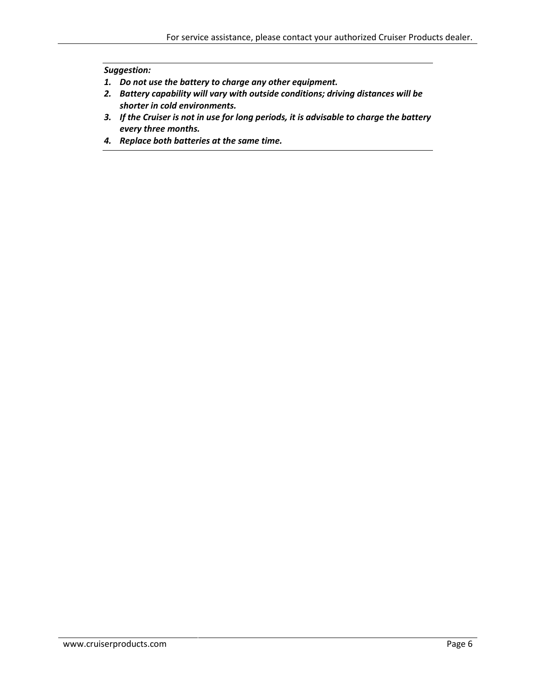#### *Suggestion:*

- *1. Do not use the battery to charge any other equipment.*
- *2. Battery capability will vary with outside conditions; driving distances will be shorter in cold environments.*
- *3. If the Cruiser is not in use for long periods, it is advisable to charge the battery every three months.*
- *4. Replace both batteries at the same time.*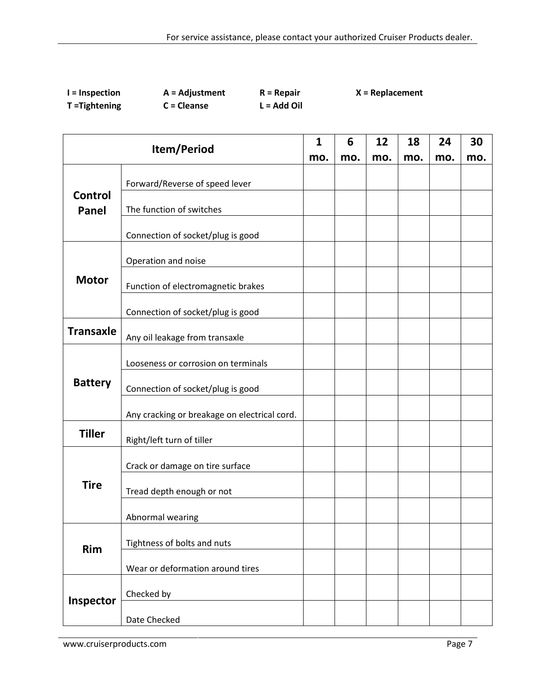| $l =$ Inspection | $A =$ Adjustment | $R = Repair$  | $X = Replacement$ |
|------------------|------------------|---------------|-------------------|
| T = Tightening   | $C = Cleanse$    | $L = Add Oil$ |                   |

| Item/Period      |                                              | $\mathbf{1}$ | 6   | 12  | 18  | 24  | 30  |
|------------------|----------------------------------------------|--------------|-----|-----|-----|-----|-----|
|                  |                                              | mo.          | mo. | mo. | mo. | mo. | mo. |
|                  | Forward/Reverse of speed lever               |              |     |     |     |     |     |
| Control<br>Panel | The function of switches                     |              |     |     |     |     |     |
|                  | Connection of socket/plug is good            |              |     |     |     |     |     |
|                  | Operation and noise                          |              |     |     |     |     |     |
| <b>Motor</b>     | Function of electromagnetic brakes           |              |     |     |     |     |     |
|                  | Connection of socket/plug is good            |              |     |     |     |     |     |
| <b>Transaxle</b> | Any oil leakage from transaxle               |              |     |     |     |     |     |
|                  | Looseness or corrosion on terminals          |              |     |     |     |     |     |
| <b>Battery</b>   | Connection of socket/plug is good            |              |     |     |     |     |     |
|                  | Any cracking or breakage on electrical cord. |              |     |     |     |     |     |
| <b>Tiller</b>    | Right/left turn of tiller                    |              |     |     |     |     |     |
|                  | Crack or damage on tire surface              |              |     |     |     |     |     |
| <b>Tire</b>      | Tread depth enough or not                    |              |     |     |     |     |     |
|                  | Abnormal wearing                             |              |     |     |     |     |     |
| <b>Rim</b>       | Tightness of bolts and nuts                  |              |     |     |     |     |     |
|                  | Wear or deformation around tires             |              |     |     |     |     |     |
| Inspector        | Checked by                                   |              |     |     |     |     |     |
|                  | Date Checked                                 |              |     |     |     |     |     |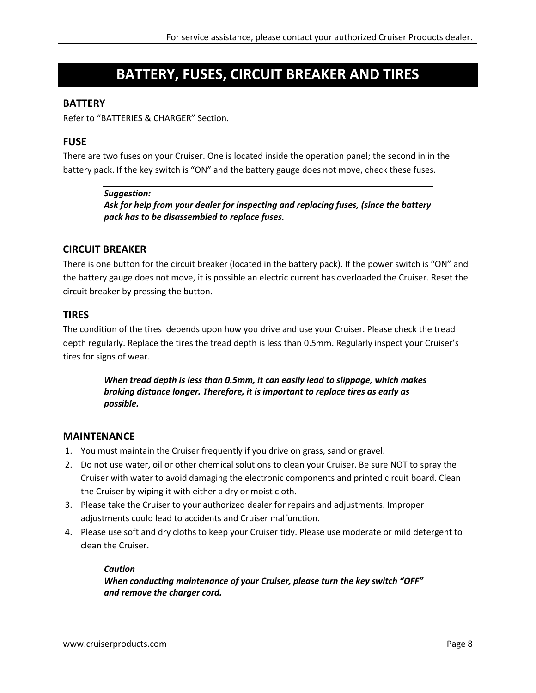### **BATTERY, FUSES, CIRCUIT BREAKER AND TIRES**

#### **BATTERY**

Refer to "BATTERIES & CHARGER" Section.

#### **FUSE**

There are two fuses on your Cruiser. One is located inside the operation panel; the second in in the battery pack. If the key switch is "ON" and the battery gauge does not move, check these fuses.

#### *Suggestion:*

*Ask for help from your dealer for inspecting and replacing fuses, (since the battery pack has to be disassembled to replace fuses.*

#### **CIRCUIT BREAKER**

There is one button for the circuit breaker (located in the battery pack). If the power switch is "ON" and the battery gauge does not move, it is possible an electric current has overloaded the Cruiser. Reset the circuit breaker by pressing the button.

#### **TIRES**

The condition of the tires depends upon how you drive and use your Cruiser. Please check the tread depth regularly. Replace the tires the tread depth is less than 0.5mm. Regularly inspect your Cruiser's tires for signs of wear.

> *When tread depth is less than 0.5mm, it can easily lead to slippage, which makes braking distance longer. Therefore, it is important to replace tires as early as possible.*

#### **MAINTENANCE**

- 1. You must maintain the Cruiser frequently if you drive on grass, sand or gravel.
- 2. Do not use water, oil or other chemical solutions to clean your Cruiser. Be sure NOT to spray the Cruiser with water to avoid damaging the electronic components and printed circuit board. Clean the Cruiser by wiping it with either a dry or moist cloth.
- 3. Please take the Cruiser to your authorized dealer for repairs and adjustments. Improper adjustments could lead to accidents and Cruiser malfunction.
- 4. Please use soft and dry cloths to keep your Cruiser tidy. Please use moderate or mild detergent to clean the Cruiser.

#### *Caution*

*When conducting maintenance of your Cruiser, please turn the key switch "OFF" and remove the charger cord.*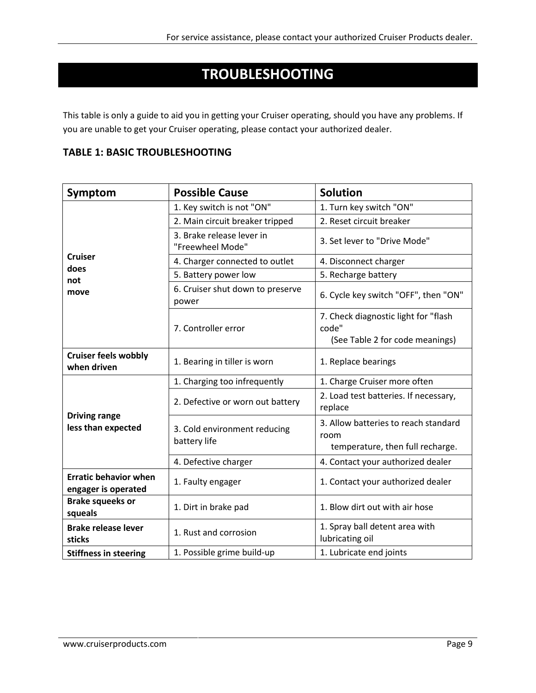### **TROUBLESHOOTING**

This table is only a guide to aid you in getting your Cruiser operating, should you have any problems. If you are unable to get your Cruiser operating, please contact your authorized dealer.

| Symptom                                             | <b>Possible Cause</b>                         | <b>Solution</b>                                                                  |
|-----------------------------------------------------|-----------------------------------------------|----------------------------------------------------------------------------------|
|                                                     | 1. Key switch is not "ON"                     | 1. Turn key switch "ON"                                                          |
|                                                     | 2. Main circuit breaker tripped               | 2. Reset circuit breaker                                                         |
|                                                     | 3. Brake release lever in<br>"Freewheel Mode" | 3. Set lever to "Drive Mode"                                                     |
| <b>Cruiser</b><br>does                              | 4. Charger connected to outlet                | 4. Disconnect charger                                                            |
| not                                                 | 5. Battery power low                          | 5. Recharge battery                                                              |
| move                                                | 6. Cruiser shut down to preserve<br>power     | 6. Cycle key switch "OFF", then "ON"                                             |
|                                                     | 7. Controller error                           | 7. Check diagnostic light for "flash<br>code"                                    |
|                                                     |                                               | (See Table 2 for code meanings)                                                  |
| <b>Cruiser feels wobbly</b><br>when driven          | 1. Bearing in tiller is worn                  | 1. Replace bearings                                                              |
|                                                     | 1. Charging too infrequently                  | 1. Charge Cruiser more often                                                     |
|                                                     | 2. Defective or worn out battery              | 2. Load test batteries. If necessary,<br>replace                                 |
| <b>Driving range</b><br>less than expected          | 3. Cold environment reducing<br>battery life  | 3. Allow batteries to reach standard<br>room<br>temperature, then full recharge. |
|                                                     | 4. Defective charger                          | 4. Contact your authorized dealer                                                |
| <b>Erratic behavior when</b><br>engager is operated | 1. Faulty engager                             | 1. Contact your authorized dealer                                                |
| <b>Brake squeeks or</b><br>squeals                  | 1. Dirt in brake pad                          | 1. Blow dirt out with air hose                                                   |
| <b>Brake release lever</b><br>sticks                | 1. Rust and corrosion                         | 1. Spray ball detent area with<br>lubricating oil                                |
| <b>Stiffness in steering</b>                        | 1. Possible grime build-up                    | 1. Lubricate end joints                                                          |

#### **TABLE 1: BASIC TROUBLESHOOTING**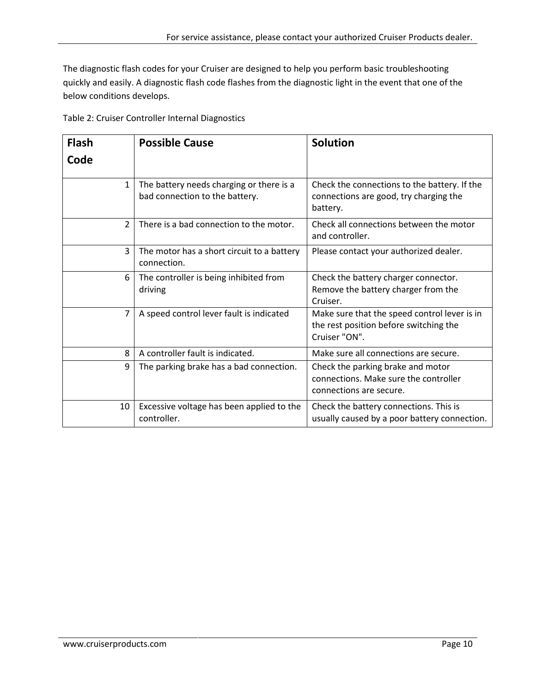The diagnostic flash codes for your Cruiser are designed to help you perform basic troubleshooting quickly and easily. A diagnostic flash code flashes from the diagnostic light in the event that one of the below conditions develops.

| Table 2: Cruiser Controller Internal Diagnostics |
|--------------------------------------------------|
|--------------------------------------------------|

| <b>Flash</b>   | <b>Possible Cause</b>                                                      | <b>Solution</b>                                                                                         |
|----------------|----------------------------------------------------------------------------|---------------------------------------------------------------------------------------------------------|
| Code           |                                                                            |                                                                                                         |
| $\mathbf{1}$   | The battery needs charging or there is a<br>bad connection to the battery. | Check the connections to the battery. If the<br>connections are good, try charging the<br>battery.      |
| $\overline{2}$ | There is a bad connection to the motor.                                    | Check all connections between the motor<br>and controller.                                              |
| 3              | The motor has a short circuit to a battery<br>connection.                  | Please contact your authorized dealer.                                                                  |
| 6              | The controller is being inhibited from<br>driving                          | Check the battery charger connector.<br>Remove the battery charger from the<br>Cruiser.                 |
| $\overline{7}$ | A speed control lever fault is indicated                                   | Make sure that the speed control lever is in<br>the rest position before switching the<br>Cruiser "ON". |
| 8              | A controller fault is indicated.                                           | Make sure all connections are secure.                                                                   |
| 9              | The parking brake has a bad connection.                                    | Check the parking brake and motor<br>connections. Make sure the controller<br>connections are secure.   |
| 10             | Excessive voltage has been applied to the<br>controller.                   | Check the battery connections. This is<br>usually caused by a poor battery connection.                  |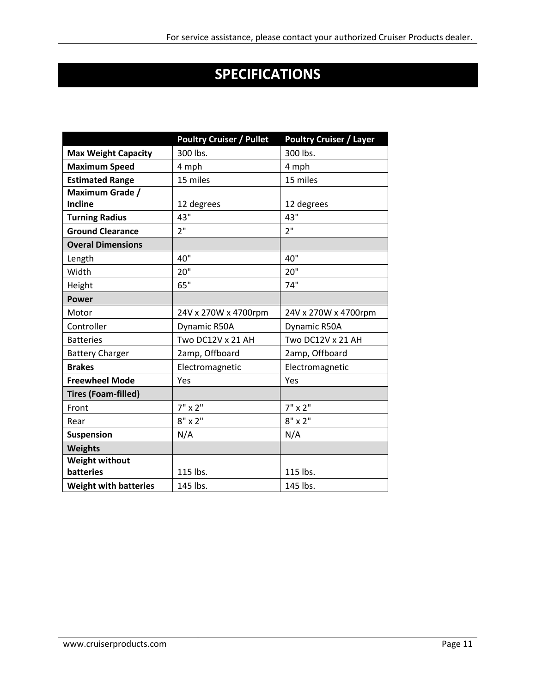# **SPECIFICATIONS**

|                              | <b>Poultry Cruiser / Pullet</b> | <b>Poultry Cruiser / Layer</b> |
|------------------------------|---------------------------------|--------------------------------|
| <b>Max Weight Capacity</b>   | 300 lbs.                        | 300 lbs.                       |
| <b>Maximum Speed</b>         | 4 mph                           | 4 mph                          |
| <b>Estimated Range</b>       | 15 miles                        | 15 miles                       |
| Maximum Grade /              |                                 |                                |
| Incline                      | 12 degrees                      | 12 degrees                     |
| <b>Turning Radius</b>        | 43"                             | 43"                            |
| <b>Ground Clearance</b>      | 2 <sup>11</sup>                 | 2 <sup>11</sup>                |
| <b>Overal Dimensions</b>     |                                 |                                |
| Length                       | 40"                             | 40"                            |
| Width                        | 20"                             | 20"                            |
| Height                       | 65"                             | 74"                            |
| <b>Power</b>                 |                                 |                                |
| Motor                        | 24V x 270W x 4700rpm            | 24V x 270W x 4700rpm           |
| Controller                   | Dynamic R50A                    | Dynamic R50A                   |
| <b>Batteries</b>             | Two DC12V x 21 AH               | Two DC12V x 21 AH              |
| <b>Battery Charger</b>       | 2amp, Offboard                  | 2amp, Offboard                 |
| <b>Brakes</b>                | Electromagnetic                 | Electromagnetic                |
| <b>Freewheel Mode</b>        | Yes                             | Yes                            |
| <b>Tires (Foam-filled)</b>   |                                 |                                |
| Front                        | $7" \times 2"$                  | $7" \times 2"$                 |
| Rear                         | $8" \times 2"$                  | $8" \times 2"$                 |
| <b>Suspension</b>            | N/A                             | N/A                            |
| <b>Weights</b>               |                                 |                                |
| <b>Weight without</b>        |                                 |                                |
| <b>batteries</b>             | 115 lbs.                        | 115 lbs.                       |
| <b>Weight with batteries</b> | 145 lbs.                        | 145 lbs.                       |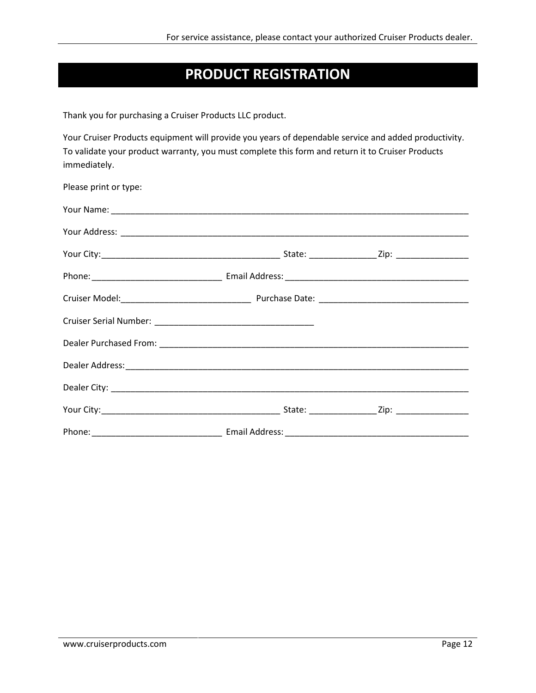### **PRODUCT REGISTRATION**

Thank you for purchasing a Cruiser Products LLC product.

Your Cruiser Products equipment will provide you years of dependable service and added productivity. To validate your product warranty, you must complete this form and return it to Cruiser Products immediately.

| Please print or type: |  |  |
|-----------------------|--|--|
|                       |  |  |
|                       |  |  |
|                       |  |  |
|                       |  |  |
|                       |  |  |
|                       |  |  |
|                       |  |  |
|                       |  |  |
|                       |  |  |
|                       |  |  |
|                       |  |  |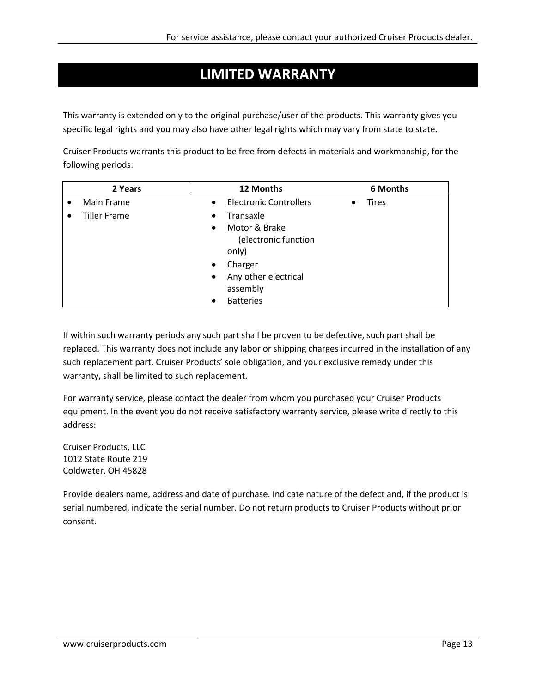### **LIMITED WARRANTY**

This warranty is extended only to the original purchase/user of the products. This warranty gives you specific legal rights and you may also have other legal rights which may vary from state to state.

Cruiser Products warrants this product to be free from defects in materials and workmanship, for the following periods:

| 2 Years             | 12 Months                                                   | 6 Months                  |
|---------------------|-------------------------------------------------------------|---------------------------|
| Main Frame          | <b>Electronic Controllers</b><br>$\bullet$                  | <b>Tires</b><br>$\bullet$ |
| <b>Tiller Frame</b> | Transaxle<br>$\bullet$                                      |                           |
|                     | Motor & Brake<br>$\bullet$<br>(electronic function<br>only) |                           |
|                     | Charger<br>$\bullet$                                        |                           |
|                     | Any other electrical<br>$\bullet$                           |                           |
|                     | assembly                                                    |                           |
|                     | <b>Batteries</b>                                            |                           |

If within such warranty periods any such part shall be proven to be defective, such part shall be replaced. This warranty does not include any labor or shipping charges incurred in the installation of any such replacement part. Cruiser Products' sole obligation, and your exclusive remedy under this warranty, shall be limited to such replacement.

For warranty service, please contact the dealer from whom you purchased your Cruiser Products equipment. In the event you do not receive satisfactory warranty service, please write directly to this address:

Cruiser Products, LLC 1012 State Route 219 Coldwater, OH 45828

Provide dealers name, address and date of purchase. Indicate nature of the defect and, if the product is serial numbered, indicate the serial number. Do not return products to Cruiser Products without prior consent.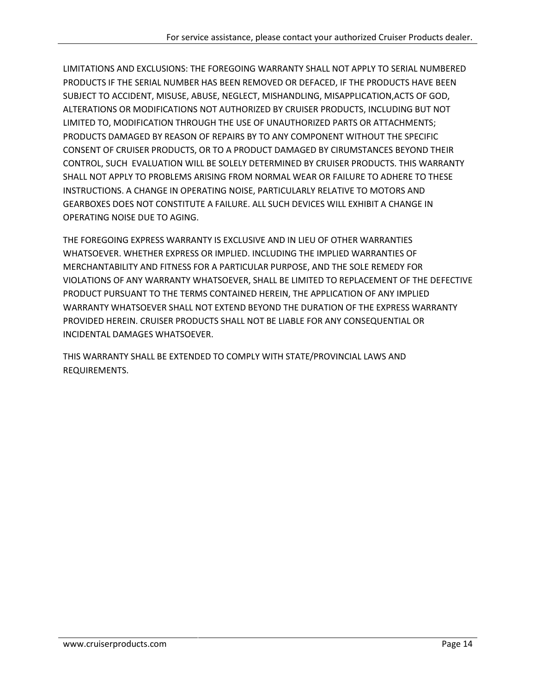LIMITATIONS AND EXCLUSIONS: THE FOREGOING WARRANTY SHALL NOT APPLY TO SERIAL NUMBERED PRODUCTS IF THE SERIAL NUMBER HAS BEEN REMOVED OR DEFACED, IF THE PRODUCTS HAVE BEEN SUBJECT TO ACCIDENT, MISUSE, ABUSE, NEGLECT, MISHANDLING, MISAPPLICATION,ACTS OF GOD, ALTERATIONS OR MODIFICATIONS NOT AUTHORIZED BY CRUISER PRODUCTS, INCLUDING BUT NOT LIMITED TO, MODIFICATION THROUGH THE USE OF UNAUTHORIZED PARTS OR ATTACHMENTS; PRODUCTS DAMAGED BY REASON OF REPAIRS BY TO ANY COMPONENT WITHOUT THE SPECIFIC CONSENT OF CRUISER PRODUCTS, OR TO A PRODUCT DAMAGED BY CIRUMSTANCES BEYOND THEIR CONTROL, SUCH EVALUATION WILL BE SOLELY DETERMINED BY CRUISER PRODUCTS. THIS WARRANTY SHALL NOT APPLY TO PROBLEMS ARISING FROM NORMAL WEAR OR FAILURE TO ADHERE TO THESE INSTRUCTIONS. A CHANGE IN OPERATING NOISE, PARTICULARLY RELATIVE TO MOTORS AND GEARBOXES DOES NOT CONSTITUTE A FAILURE. ALL SUCH DEVICES WILL EXHIBIT A CHANGE IN OPERATING NOISE DUE TO AGING.

THE FOREGOING EXPRESS WARRANTY IS EXCLUSIVE AND IN LIEU OF OTHER WARRANTIES WHATSOEVER. WHETHER EXPRESS OR IMPLIED. INCLUDING THE IMPLIED WARRANTIES OF MERCHANTABILITY AND FITNESS FOR A PARTICULAR PURPOSE, AND THE SOLE REMEDY FOR VIOLATIONS OF ANY WARRANTY WHATSOEVER, SHALL BE LIMITED TO REPLACEMENT OF THE DEFECTIVE PRODUCT PURSUANT TO THE TERMS CONTAINED HEREIN, THE APPLICATION OF ANY IMPLIED WARRANTY WHATSOEVER SHALL NOT EXTEND BEYOND THE DURATION OF THE EXPRESS WARRANTY PROVIDED HEREIN. CRUISER PRODUCTS SHALL NOT BE LIABLE FOR ANY CONSEQUENTIAL OR INCIDENTAL DAMAGES WHATSOEVER.

THIS WARRANTY SHALL BE EXTENDED TO COMPLY WITH STATE/PROVINCIAL LAWS AND REQUIREMENTS.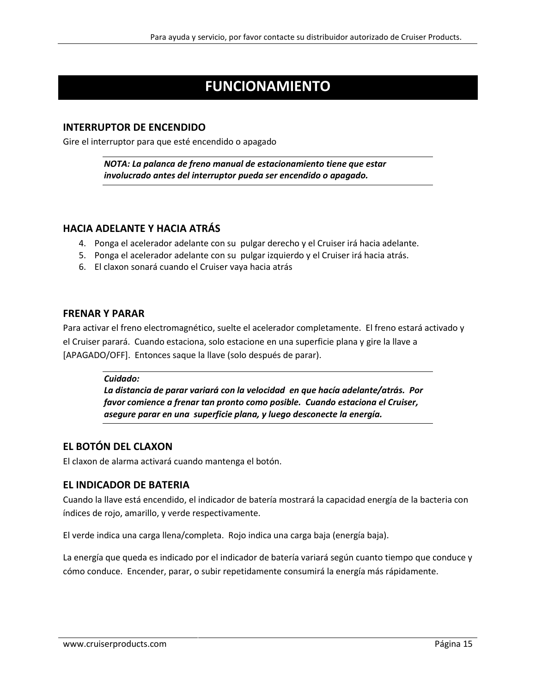### **FUNCIONAMIENTO**

#### **INTERRUPTOR DE ENCENDIDO**

Gire el interruptor para que esté encendido o apagado

*NOTA: La palanca de freno manual de estacionamiento tiene que estar involucrado antes del interruptor pueda ser encendido o apagado.*

#### **HACIA ADELANTE Y HACIA ATRÁS**

- 4. Ponga el acelerador adelante con su pulgar derecho y el Cruiser irá hacia adelante.
- 5. Ponga el acelerador adelante con su pulgar izquierdo y el Cruiser irá hacia atrás.
- 6. El claxon sonará cuando el Cruiser vaya hacia atrás

#### **FRENAR Y PARAR**

Para activar el freno electromagnético, suelte el acelerador completamente. El freno estará activado y el Cruiser parará. Cuando estaciona, solo estacione en una superficie plana y gire la llave a [APAGADO/OFF]. Entonces saque la llave (solo después de parar).

#### *Cuidado:*

*La distancia de parar variará con la velocidad en que hacía adelante/atrás. Por favor comience a frenar tan pronto como posible. Cuando estaciona el Cruiser, asegure parar en una superficie plana, y luego desconecte la energía.* 

#### **EL BOTÓN DEL CLAXON**

El claxon de alarma activará cuando mantenga el botón.

#### **EL INDICADOR DE BATERIA**

Cuando la llave está encendido, el indicador de batería mostrará la capacidad energía de la bacteria con índices de rojo, amarillo, y verde respectivamente.

El verde indica una carga llena/completa. Rojo indica una carga baja (energía baja).

La energía que queda es indicado por el indicador de batería variará según cuanto tiempo que conduce y cómo conduce. Encender, parar, o subir repetidamente consumirá la energía más rápidamente.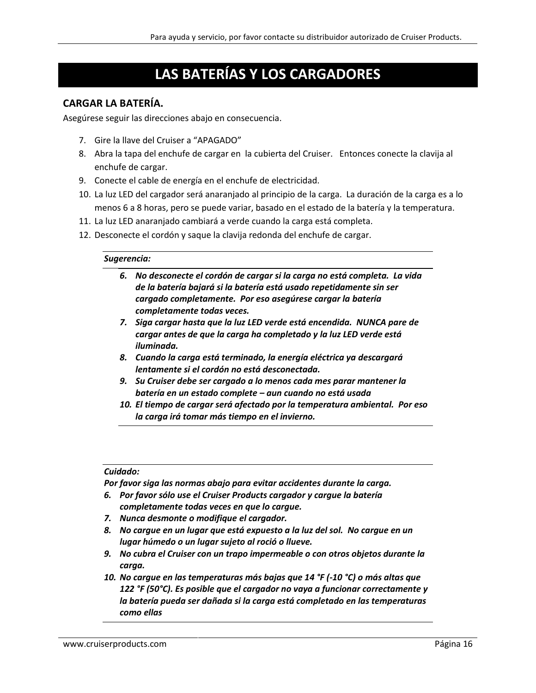### **LAS BATERÍAS Y LOS CARGADORES**

#### **CARGAR LA BATERÍA.**

Asegúrese seguir las direcciones abajo en consecuencia.

- 7. Gire la llave del Cruiser a "APAGADO"
- 8. Abra la tapa del enchufe de cargar en la cubierta del Cruiser. Entonces conecte la clavija al enchufe de cargar.
- 9. Conecte el cable de energía en el enchufe de electricidad.
- 10. La luz LED del cargador será anaranjado al principio de la carga. La duración de la carga es a lo menos 6 a 8 horas, pero se puede variar, basado en el estado de la batería y la temperatura.
- 11. La luz LED anaranjado cambiará a verde cuando la carga está completa.
- 12. Desconecte el cordón y saque la clavija redonda del enchufe de cargar.

#### *Sugerencia:*

- *6. No desconecte el cordón de cargar si la carga no está completa. La vida de la batería bajará si la batería está usado repetidamente sin ser cargado completamente. Por eso asegúrese cargar la batería completamente todas veces.*
- *7. Siga cargar hasta que la luz LED verde está encendida. NUNCA pare de cargar antes de que la carga ha completado y la luz LED verde está iluminada.*
- *8. Cuando la carga está terminado, la energía eléctrica ya descargará lentamente si el cordón no está desconectada.*
- *9. Su Cruiser debe ser cargado a lo menos cada mes parar mantener la batería en un estado complete – aun cuando no está usada*
- *10. El tiempo de cargar será afectado por la temperatura ambiental. Por eso la carga irá tomar más tiempo en el invierno.*

#### *Cuidado:*

*Por favor siga las normas abajo para evitar accidentes durante la carga.*

- *6. Por favor sólo use el Cruiser Products cargador y cargue la batería completamente todas veces en que lo cargue.*
- *7. Nunca desmonte o modifique el cargador.*
- *8. No cargue en un lugar que está expuesto a la luz del sol. No cargue en un lugar húmedo o un lugar sujeto al roció o llueve.*
- *9. No cubra el Cruiser con un trapo impermeable o con otros objetos durante la carga.*
- *10. No cargue en las temperaturas más bajas que 14 °F (-10 °C) o más altas que 122 °F (50°C). Es posible que el cargador no vaya a funcionar correctamente y la batería pueda ser dañada si la carga está completado en las temperaturas como ellas*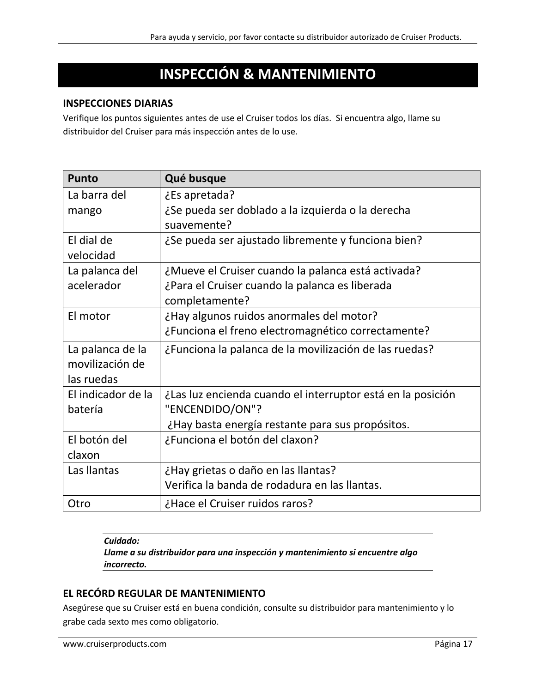### **INSPECCIÓN & MANTENIMIENTO**

#### **INSPECCIONES DIARIAS**

Verifique los puntos siguientes antes de use el Cruiser todos los días. Si encuentra algo, llame su distribuidor del Cruiser para más inspección antes de lo use.

| <b>Punto</b>       | Qué busque                                                  |
|--------------------|-------------------------------------------------------------|
| La barra del       | ¿Es apretada?                                               |
| mango              | ¿Se pueda ser doblado a la izquierda o la derecha           |
|                    | suavemente?                                                 |
| El dial de         | ¿Se pueda ser ajustado libremente y funciona bien?          |
| velocidad          |                                                             |
| La palanca del     | ¿Mueve el Cruiser cuando la palanca está activada?          |
| acelerador         | ¿Para el Cruiser cuando la palanca es liberada              |
|                    | completamente?                                              |
| El motor           | ¿Hay algunos ruidos anormales del motor?                    |
|                    | ¿Funciona el freno electromagnético correctamente?          |
| La palanca de la   | ¿Funciona la palanca de la movilización de las ruedas?      |
| movilización de    |                                                             |
| las ruedas         |                                                             |
| El indicador de la | ¿Las luz encienda cuando el interruptor está en la posición |
| batería            | "ENCENDIDO/ON"?                                             |
|                    | ¿Hay basta energía restante para sus propósitos.            |
| El botón del       | ¿Funciona el botón del claxon?                              |
| claxon             |                                                             |
| Las llantas        | ¿Hay grietas o daño en las llantas?                         |
|                    | Verifica la banda de rodadura en las llantas.               |
| Otro               | ¿Hace el Cruiser ruidos raros?                              |

#### *Cuidado:*

*Llame a su distribuidor para una inspección y mantenimiento si encuentre algo incorrecto.* 

#### **EL RECÓRD REGULAR DE MANTENIMIENTO**

Asegúrese que su Cruiser está en buena condición, consulte su distribuidor para mantenimiento y lo grabe cada sexto mes como obligatorio.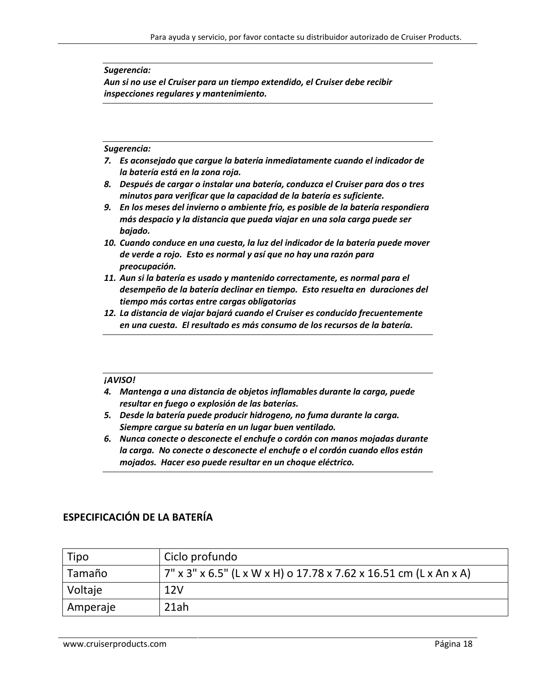#### *Sugerencia:*

*Aun si no use el Cruiser para un tiempo extendido, el Cruiser debe recibir inspecciones regulares y mantenimiento.* 

#### *Sugerencia:*

- *7. Es aconsejado que cargue la batería inmediatamente cuando el indicador de la batería está en la zona roja.*
- *8. Después de cargar o instalar una batería, conduzca el Cruiser para dos o tres minutos para verificar que la capacidad de la batería es suficiente.*
- *9. En los meses del invierno o ambiente frío, es posible de la batería respondiera más despacio y la distancia que pueda viajar en una sola carga puede ser bajado.*
- *10. Cuando conduce en una cuesta, la luz del indicador de la batería puede mover de verde a rojo. Esto es normal y así que no hay una razón para preocupación.*
- *11. Aun si la batería es usado y mantenido correctamente, es normal para el desempeño de la batería declinar en tiempo. Esto resuelta en duraciones del tiempo más cortas entre cargas obligatorias*
- *12. La distancia de viajar bajará cuando el Cruiser es conducido frecuentemente en una cuesta. El resultado es más consumo de los recursos de la batería.*

#### *¡AVISO!*

- *4. Mantenga a una distancia de objetos inflamables durante la carga, puede resultar en fuego o explosión de las baterías.*
- *5. Desde la batería puede producir hidrogeno, no fuma durante la carga. Siempre cargue su batería en un lugar buen ventilado.*
- *6. Nunca conecte o desconecte el enchufe o cordón con manos mojadas durante la carga. No conecte o desconecte el enchufe o el cordón cuando ellos están mojados. Hacer eso puede resultar en un choque eléctrico.*

#### **ESPECIFICACIÓN DE LA BATERÍA**

| Tipo     | Ciclo profundo                                                    |
|----------|-------------------------------------------------------------------|
| Tamaño   | 7" x 3" x 6.5" (L x W x H) o 17.78 x 7.62 x 16.51 cm (L x An x A) |
| Voltaje  | 12V                                                               |
| Amperaje | 21ah                                                              |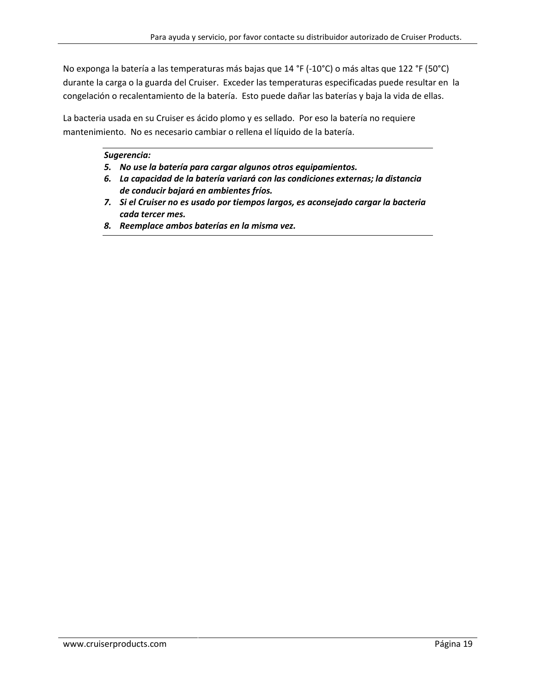No exponga la batería a las temperaturas más bajas que 14 °F (-10°C) o más altas que 122 °F (50°C) durante la carga o la guarda del Cruiser. Exceder las temperaturas especificadas puede resultar en la congelación o recalentamiento de la batería. Esto puede dañar las baterías y baja la vida de ellas.

La bacteria usada en su Cruiser es ácido plomo y es sellado. Por eso la batería no requiere mantenimiento. No es necesario cambiar o rellena el líquido de la batería.

#### *Sugerencia:*

- *5. No use la batería para cargar algunos otros equipamientos.*
- *6. La capacidad de la batería variará con las condiciones externas; la distancia de conducir bajará en ambientes fríos.*
- *7. Si el Cruiser no es usado por tiempos largos, es aconsejado cargar la bacteria cada tercer mes.*
- *8. Reemplace ambos baterías en la misma vez.*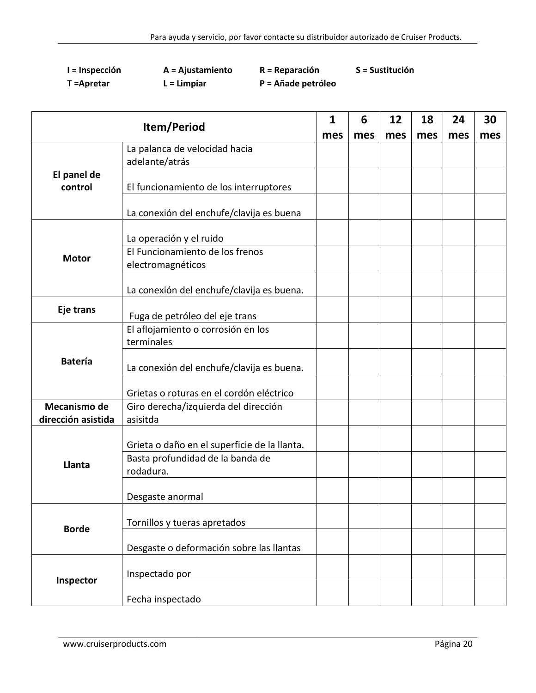| I = Inspección | A = Ajustamiento | $R = Reparación$   | S = Sustitución |
|----------------|------------------|--------------------|-----------------|
| T = Apretar    | $L = Lim$ piar   | P = Añade petróleo |                 |

| Item/Period            |                                                                                  | $\mathbf{1}$ | 6   | 12  | 18  | 24  | 30  |
|------------------------|----------------------------------------------------------------------------------|--------------|-----|-----|-----|-----|-----|
|                        |                                                                                  | mes          | mes | mes | mes | mes | mes |
|                        | La palanca de velocidad hacia                                                    |              |     |     |     |     |     |
|                        | adelante/atrás                                                                   |              |     |     |     |     |     |
| El panel de<br>control | El funcionamiento de los interruptores                                           |              |     |     |     |     |     |
|                        | La conexión del enchufe/clavija es buena                                         |              |     |     |     |     |     |
|                        | La operación y el ruido                                                          |              |     |     |     |     |     |
| <b>Motor</b>           | El Funcionamiento de los frenos                                                  |              |     |     |     |     |     |
|                        | electromagnéticos                                                                |              |     |     |     |     |     |
|                        | La conexión del enchufe/clavija es buena.                                        |              |     |     |     |     |     |
| Eje trans              | Fuga de petróleo del eje trans                                                   |              |     |     |     |     |     |
| <b>Batería</b>         | El aflojamiento o corrosión en los<br>terminales                                 |              |     |     |     |     |     |
|                        | La conexión del enchufe/clavija es buena.                                        |              |     |     |     |     |     |
|                        | Grietas o roturas en el cordón eléctrico                                         |              |     |     |     |     |     |
| Mecanismo de           | Giro derecha/izquierda del dirección                                             |              |     |     |     |     |     |
| dirección asistida     | asisitda                                                                         |              |     |     |     |     |     |
| Llanta                 | Grieta o daño en el superficie de la llanta.<br>Basta profundidad de la banda de |              |     |     |     |     |     |
|                        | rodadura.                                                                        |              |     |     |     |     |     |
|                        | Desgaste anormal                                                                 |              |     |     |     |     |     |
| <b>Borde</b>           | Tornillos y tueras apretados                                                     |              |     |     |     |     |     |
|                        | Desgaste o deformación sobre las llantas                                         |              |     |     |     |     |     |
| Inspector              | Inspectado por                                                                   |              |     |     |     |     |     |
|                        | Fecha inspectado                                                                 |              |     |     |     |     |     |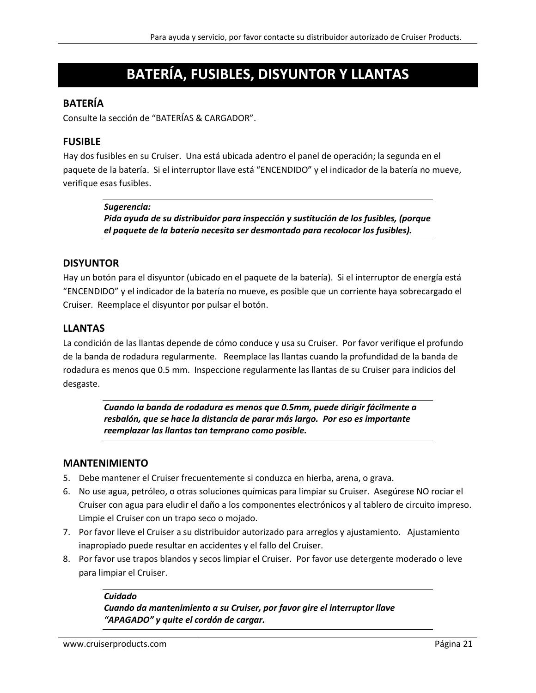### **BATERÍA, FUSIBLES, DISYUNTOR Y LLANTAS**

#### **BATERÍA**

Consulte la sección de "BATERÍAS & CARGADOR".

#### **FUSIBLE**

Hay dos fusibles en su Cruiser. Una está ubicada adentro el panel de operación; la segunda en el paquete de la batería. Si el interruptor llave está "ENCENDIDO" y el indicador de la batería no mueve, verifique esas fusibles.

#### *Sugerencia:*

*Pida ayuda de su distribuidor para inspección y sustitución de los fusibles, (porque el paquete de la batería necesita ser desmontado para recolocar los fusibles).*

#### **DISYUNTOR**

Hay un botón para el disyuntor (ubicado en el paquete de la batería). Si el interruptor de energía está "ENCENDIDO" y el indicador de la batería no mueve, es posible que un corriente haya sobrecargado el Cruiser. Reemplace el disyuntor por pulsar el botón.

#### **LLANTAS**

La condición de las llantas depende de cómo conduce y usa su Cruiser. Por favor verifique el profundo de la banda de rodadura regularmente. Reemplace las llantas cuando la profundidad de la banda de rodadura es menos que 0.5 mm. Inspeccione regularmente las llantas de su Cruiser para indicios del desgaste.

> *Cuando la banda de rodadura es menos que 0.5mm, puede dirigir fácilmente a resbalón, que se hace la distancia de parar más largo. Por eso es importante reemplazar las llantas tan temprano como posible.*

#### **MANTENIMIENTO**

- 5. Debe mantener el Cruiser frecuentemente si conduzca en hierba, arena, o grava.
- 6. No use agua, petróleo, o otras soluciones químicas para limpiar su Cruiser. Asegúrese NO rociar el Cruiser con agua para eludir el daño a los componentes electrónicos y al tablero de circuito impreso. Limpie el Cruiser con un trapo seco o mojado.
- 7. Por favor lleve el Cruiser a su distribuidor autorizado para arreglos y ajustamiento. Ajustamiento inapropiado puede resultar en accidentes y el fallo del Cruiser.
- 8. Por favor use trapos blandos y secos limpiar el Cruiser. Por favor use detergente moderado o leve para limpiar el Cruiser.

#### *Cuidado Cuando da mantenimiento a su Cruiser, por favor gire el interruptor llave "APAGADO" y quite el cordón de cargar.*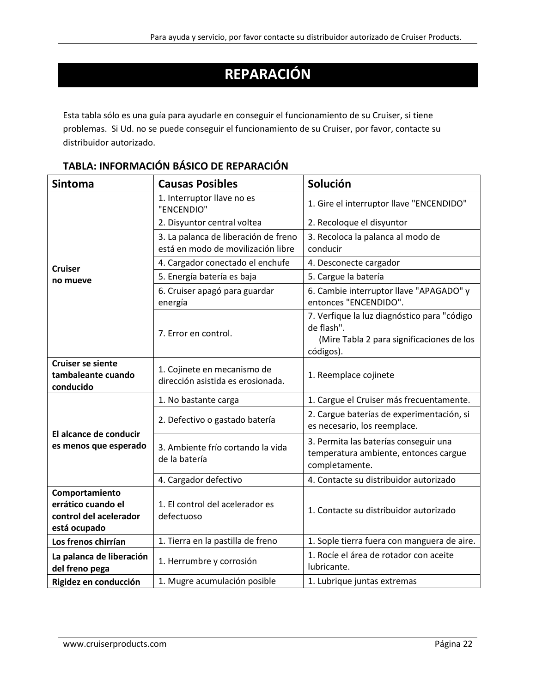# **REPARACIÓN**

Esta tabla sólo es una guía para ayudarle en conseguir el funcionamiento de su Cruiser, si tiene problemas. Si Ud. no se puede conseguir el funcionamiento de su Cruiser, por favor, contacte su distribuidor autorizado.

| <b>Sintoma</b>                                                                 | <b>Causas Posibles</b>                                                     | Solución                                                                                                            |
|--------------------------------------------------------------------------------|----------------------------------------------------------------------------|---------------------------------------------------------------------------------------------------------------------|
|                                                                                | 1. Interruptor llave no es<br>"ENCENDIO"                                   | 1. Gire el interruptor llave "ENCENDIDO"                                                                            |
|                                                                                | 2. Disyuntor central voltea                                                | 2. Recoloque el disyuntor                                                                                           |
|                                                                                | 3. La palanca de liberación de freno<br>está en modo de movilización libre | 3. Recoloca la palanca al modo de<br>conducir                                                                       |
| <b>Cruiser</b>                                                                 | 4. Cargador conectado el enchufe                                           | 4. Desconecte cargador                                                                                              |
| no mueve                                                                       | 5. Energía batería es baja                                                 | 5. Cargue la batería                                                                                                |
|                                                                                | 6. Cruiser apagó para guardar<br>energía                                   | 6. Cambie interruptor llave "APAGADO" y<br>entonces "ENCENDIDO".                                                    |
|                                                                                | 7. Error en control.                                                       | 7. Verfique la luz diagnóstico para "código<br>de flash".<br>(Mire Tabla 2 para significaciones de los<br>códigos). |
| <b>Cruiser se siente</b><br>tambaleante cuando<br>conducido                    | 1. Cojinete en mecanismo de<br>dirección asistida es erosionada.           | 1. Reemplace cojinete                                                                                               |
|                                                                                | 1. No bastante carga                                                       | 1. Cargue el Cruiser más frecuentamente.                                                                            |
|                                                                                | 2. Defectivo o gastado batería                                             | 2. Cargue baterías de experimentación, si<br>es necesario, los reemplace.                                           |
| El alcance de conducir<br>es menos que esperado                                | 3. Ambiente frío cortando la vida<br>de la batería                         | 3. Permita las baterías conseguir una<br>temperatura ambiente, entonces cargue<br>completamente.                    |
|                                                                                | 4. Cargador defectivo                                                      | 4. Contacte su distribuidor autorizado                                                                              |
| Comportamiento<br>errático cuando el<br>control del acelerador<br>está ocupado | 1. El control del acelerador es<br>defectuoso                              | 1. Contacte su distribuidor autorizado                                                                              |
| Los frenos chirrían                                                            | 1. Tierra en la pastilla de freno                                          | 1. Sople tierra fuera con manguera de aire.                                                                         |
| La palanca de liberación<br>del freno pega                                     | 1. Herrumbre y corrosión                                                   | 1. Rocíe el área de rotador con aceite<br>lubricante.                                                               |
| Rigidez en conducción                                                          | 1. Mugre acumulación posible                                               | 1. Lubrique juntas extremas                                                                                         |

### **TABLA: INFORMACIÓN BÁSICO DE REPARACIÓN**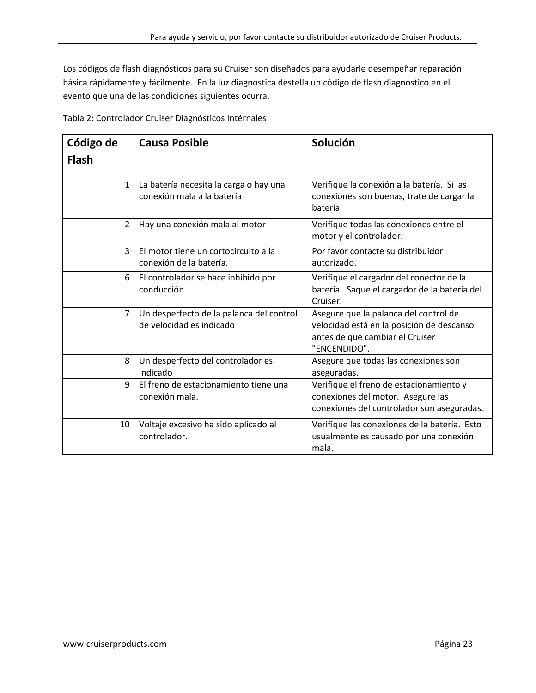Los códigos de flash diagnósticos para su Cruiser son diseñados para ayudarle desempeñar reparación básica rápidamente y fácilmente. En la luz diagnostica destella un código de flash diagnostico en el evento que una de las condiciones siguientes ocurra.

Tabla 2: Controlador Cruiser Diagnósticos Intérnales

| Código de      | <b>Causa Posible</b>                                                 | Solución                                                                                                                              |
|----------------|----------------------------------------------------------------------|---------------------------------------------------------------------------------------------------------------------------------------|
| <b>Flash</b>   |                                                                      |                                                                                                                                       |
| $\mathbf{1}$   | La batería necesita la carga o hay una<br>conexión mala a la batería | Verifique la conexión a la batería. Si las<br>conexiones son buenas, trate de cargar la<br>batería.                                   |
| $\overline{2}$ | Hay una conexión mala al motor                                       | Verifique todas las conexiones entre el<br>motor y el controlador.                                                                    |
| $\overline{3}$ | El motor tiene un cortocircuito a la<br>conexión de la batería.      | Por favor contacte su distribuidor<br>autorizado.                                                                                     |
| 6              | El controlador se hace inhibido por<br>conducción                    | Verifique el cargador del conector de la<br>batería. Saque el cargador de la batería del<br>Cruiser.                                  |
| $\overline{7}$ | Un desperfecto de la palanca del control<br>de velocidad es indicado | Asegure que la palanca del control de<br>velocidad está en la posición de descanso<br>antes de que cambiar el Cruiser<br>"ENCENDIDO". |
| 8              | Un desperfecto del controlador es<br>indicado                        | Asegure que todas las conexiones son<br>aseguradas.                                                                                   |
| 9              | El freno de estacionamiento tiene una<br>conexión mala.              | Verifique el freno de estacionamiento y<br>conexiones del motor. Asegure las<br>conexiones del controlador son aseguradas.            |
| 10             | Voltaje excesivo ha sido aplicado al<br>controlador                  | Verifique las conexiones de la batería. Esto<br>usualmente es causado por una conexión<br>mala.                                       |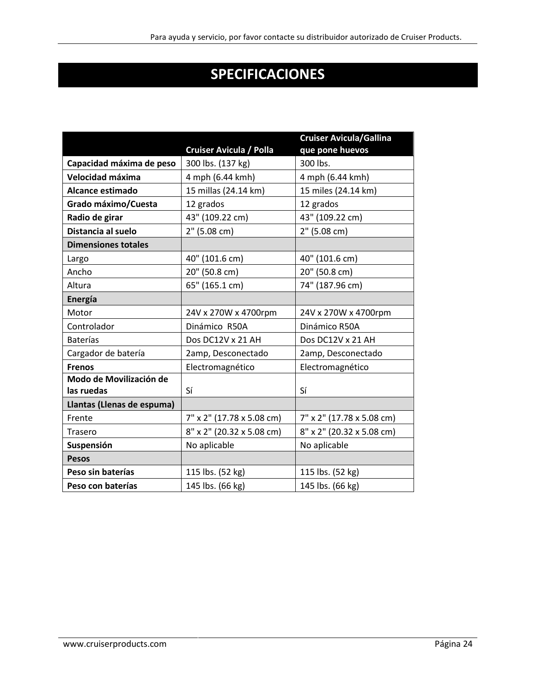# **SPECIFICACIONES**

|                            |                                | <b>Cruiser Avicula/Gallina</b> |
|----------------------------|--------------------------------|--------------------------------|
|                            | <b>Cruiser Avicula / Polla</b> | que pone huevos                |
| Capacidad máxima de peso   | 300 lbs. (137 kg)              | 300 lbs.                       |
| Velocidad máxima           | 4 mph (6.44 kmh)               | 4 mph (6.44 kmh)               |
| <b>Alcance estimado</b>    | 15 millas (24.14 km)           | 15 miles (24.14 km)            |
| Grado máximo/Cuesta        | 12 grados                      | 12 grados                      |
| Radio de girar             | 43" (109.22 cm)                | 43" (109.22 cm)                |
| Distancia al suelo         | 2" (5.08 cm)                   | 2" (5.08 cm)                   |
| <b>Dimensiones totales</b> |                                |                                |
| Largo                      | 40" (101.6 cm)                 | 40" (101.6 cm)                 |
| Ancho                      | 20" (50.8 cm)                  | 20" (50.8 cm)                  |
| Altura                     | 65" (165.1 cm)                 | 74" (187.96 cm)                |
| Energía                    |                                |                                |
| Motor                      | 24V x 270W x 4700rpm           | 24V x 270W x 4700rpm           |
| Controlador                | Dinámico R50A                  | Dinámico R50A                  |
| <b>Baterías</b>            | Dos DC12V x 21 AH              | Dos DC12V x 21 AH              |
| Cargador de batería        | 2amp, Desconectado             | 2amp, Desconectado             |
| <b>Frenos</b>              | Electromagnético               | Electromagnético               |
| Modo de Movilización de    |                                |                                |
| las ruedas                 | Sí                             | Sí                             |
| Llantas (Llenas de espuma) |                                |                                |
| Frente                     | 7" x 2" (17.78 x 5.08 cm)      | 7" x 2" (17.78 x 5.08 cm)      |
| Trasero                    | 8" x 2" (20.32 x 5.08 cm)      | 8" x 2" (20.32 x 5.08 cm)      |
| Suspensión                 | No aplicable                   | No aplicable                   |
| <b>Pesos</b>               |                                |                                |
| Peso sin baterías          | 115 lbs. (52 kg)               | 115 lbs. (52 kg)               |
| Peso con baterías          | 145 lbs. (66 kg)               | 145 lbs. (66 kg)               |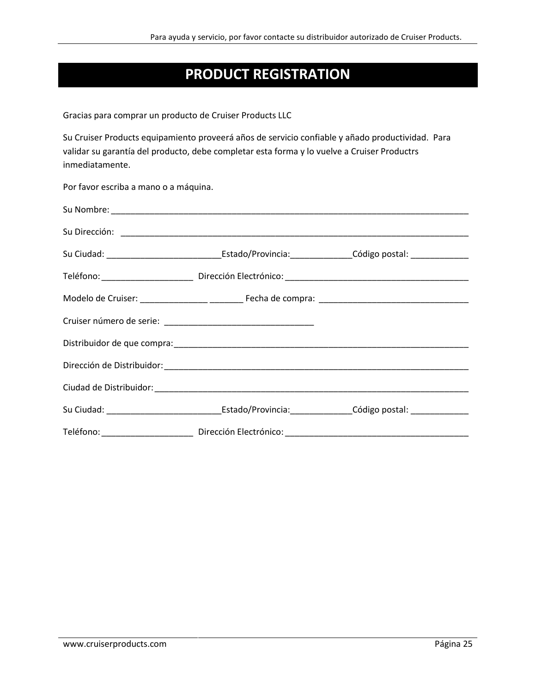### **PRODUCT REGISTRATION**

Gracias para comprar un producto de Cruiser Products LLC

Su Cruiser Products equipamiento proveerá años de servicio confiable y añado productividad. Para validar su garantía del producto, debe completar esta forma y lo vuelve a Cruiser Productrs inmediatamente.

Por favor escriba a mano o a máquina.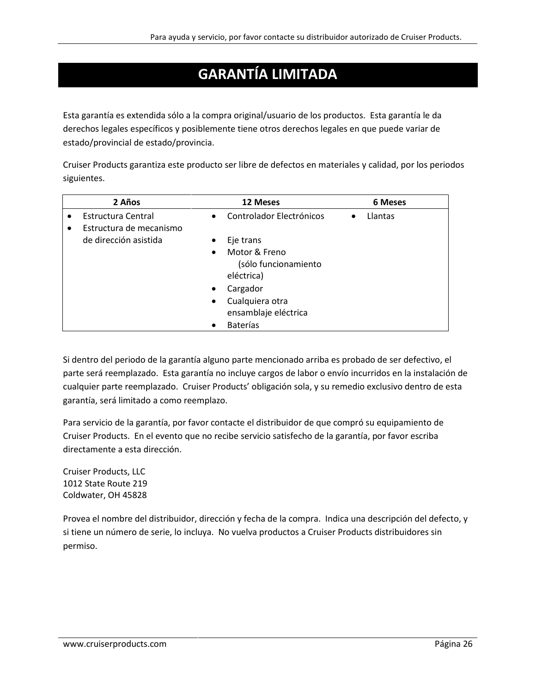### **GARANTÍA LIMITADA**

Esta garantía es extendida sólo a la compra original/usuario de los productos. Esta garantía le da derechos legales específicos y posiblemente tiene otros derechos legales en que puede variar de estado/provincial de estado/provincia.

Cruiser Products garantiza este producto ser libre de defectos en materiales y calidad, por los periodos siguientes.

| 2 Años                                                     | 12 Meses                                                         | 6 Meses              |
|------------------------------------------------------------|------------------------------------------------------------------|----------------------|
| Estructura Central<br>Estructura de mecanismo<br>$\bullet$ | Controlador Electrónicos<br>$\bullet$                            | Llantas<br>$\bullet$ |
| de dirección asistida                                      | Eje trans                                                        |                      |
|                                                            | Motor & Freno<br>$\bullet$<br>(sólo funcionamiento<br>eléctrica) |                      |
|                                                            | Cargador<br>$\bullet$                                            |                      |
|                                                            | Cualquiera otra<br>$\bullet$                                     |                      |
|                                                            | ensamblaje eléctrica                                             |                      |
|                                                            | <b>Baterías</b>                                                  |                      |

Si dentro del periodo de la garantía alguno parte mencionado arriba es probado de ser defectivo, el parte será reemplazado. Esta garantía no incluye cargos de labor o envío incurridos en la instalación de cualquier parte reemplazado. Cruiser Products' obligación sola, y su remedio exclusivo dentro de esta garantía, será limitado a como reemplazo.

Para servicio de la garantía, por favor contacte el distribuidor de que compró su equipamiento de Cruiser Products. En el evento que no recibe servicio satisfecho de la garantía, por favor escriba directamente a esta dirección.

Cruiser Products, LLC 1012 State Route 219 Coldwater, OH 45828

Provea el nombre del distribuidor, dirección y fecha de la compra. Indica una descripción del defecto, y si tiene un número de serie, lo incluya. No vuelva productos a Cruiser Products distribuidores sin permiso.